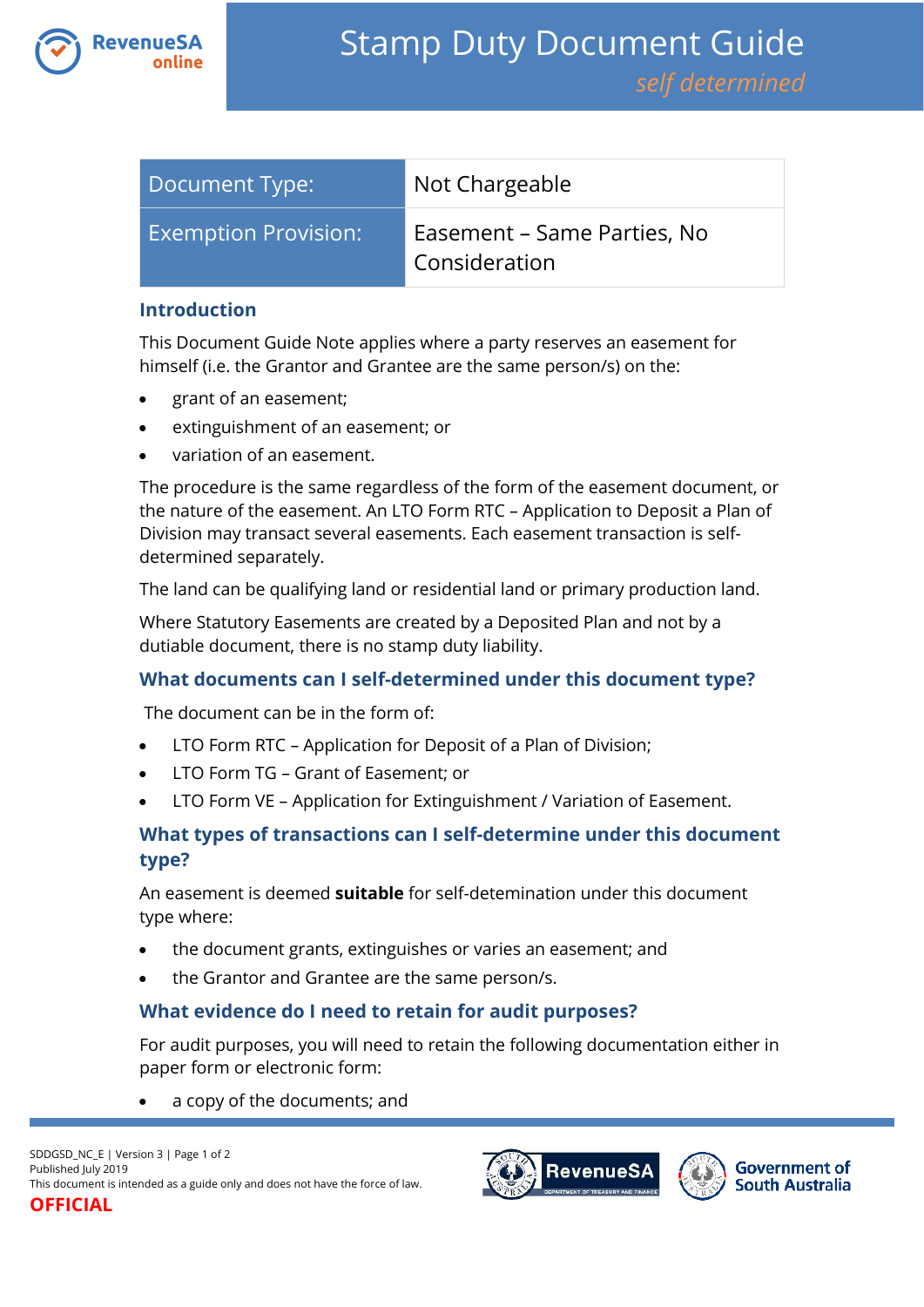

| Document Type:              | Not Chargeable                               |
|-----------------------------|----------------------------------------------|
| <b>Exemption Provision:</b> | Easement – Same Parties, No<br>Consideration |

#### **Introduction**

This Document Guide Note applies where a party reserves an easement for himself (i.e. the Grantor and Grantee are the same person/s) on the:

- grant of an easement;
- extinguishment of an easement; or
- variation of an easement.

The procedure is the same regardless of the form of the easement document, or the nature of the easement. An LTO Form RTC – Application to Deposit a Plan of Division may transact several easements. Each easement transaction is selfdetermined separately.

The land can be qualifying land or residential land or primary production land.

Where Statutory Easements are created by a Deposited Plan and not by a dutiable document, there is no stamp duty liability.

## **What documents can I self-determined under this document type?**

The document can be in the form of:

- LTO Form RTC Application for Deposit of a Plan of Division;
- LTO Form TG Grant of Easement; or
- LTO Form VE Application for Extinguishment / Variation of Easement.

# **What types of transactions can I self-determine under this document type?**

An easement is deemed **suitable** for self-detemination under this document type where:

- the document grants, extinguishes or varies an easement; and
- the Grantor and Grantee are the same person/s.

## **What evidence do I need to retain for audit purposes?**

For audit purposes, you will need to retain the following documentation either in paper form or electronic form:

a copy of the documents; and